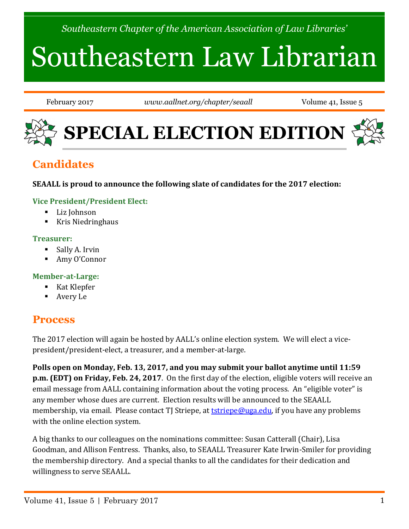*Southeastern Chapter of the American Association of Law Libraries'*

# Southeastern Law Librarian

February 2017 *www.aallnet.org/chapter/seaall* Volume 41, Issue 5



# **Candidates**

#### **SEAALL is proud to announce the following slate of candidates for the 2017 election:**

#### **Vice President/President Elect:**

- Liz Johnson
- $\blacksquare$  Kris Niedringhaus

#### **Treasurer:**

- **Sally A. Irvin**
- Amy O'Connor

#### **Member-at-Large:**

- Kat Klepfer
- Avery Le

### **Process**

The 2017 election will again be hosted by AALL's online election system. We will elect a vicepresident/president-elect, a treasurer, and a member-at-large.

**Polls open on Monday, Feb. 13, 2017, and you may submit your ballot anytime until 11:59 p.m. (EDT) on Friday, Feb. 24, 2017**. On the first day of the election, eligible voters will receive an email message from AALL containing information about the voting process. An "eligible voter" is any member whose dues are current. Election results will be announced to the SEAALL membership, via email. Please contact TJ Striepe, at **tstriepe@uga.edu**, if you have any problems with the online election system.

A big thanks to our colleagues on the nominations committee: Susan Catterall (Chair), Lisa Goodman, and Allison Fentress. Thanks, also, to SEAALL Treasurer Kate Irwin-Smiler for providing the membership directory. And a special thanks to all the candidates for their dedication and willingness to serve SEAALL.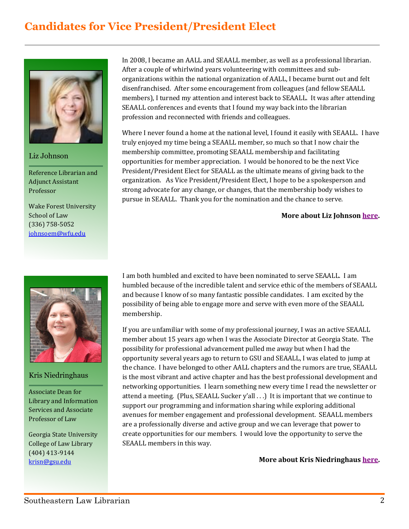# **Candidates for Vice President/President Elect**



Liz Johnson

Reference Librarian and Adjunct Assistant Professor

Wake Forest University School of Law (336) 758-5052 [johnsoem@wfu.edu](mailto:johnsoem@wfu.edu)



#### Kris Niedringhaus

Associate Dean for Library and Information Services and Associate Professor of Law

Georgia State University College of Law Library (404) 413-9144 [krisn@gsu.edu](mailto:krisn@gsu.edu)

In 2008, I became an AALL and SEAALL member, as well as a professional librarian. After a couple of whirlwind years volunteering with committees and suborganizations within the national organization of AALL, I became burnt out and felt disenfranchised. After some encouragement from colleagues (and fellow SEAALL members), I turned my attention and interest back to SEAALL. It was after attending SEAALL conferences and events that I found my way back into the librarian profession and reconnected with friends and colleagues.

Where I never found a home at the national level, I found it easily with SEAALL. I have truly enjoyed my time being a SEAALL member, so much so that I now chair the membership committee, promoting SEAALL membership and facilitating opportunities for member appreciation. I would be honored to be the next Vice President/President Elect for SEAALL as the ultimate means of giving back to the organization. As Vice President/President Elect, I hope to be a spokesperson and strong advocate for any change, or changes, that the membership body wishes to pursue in SEAALL. Thank you for the nomination and the chance to serve.

#### **More about Liz Johnso[n here.](http://www.aallnet.org/chapter/seaall/documents/elections/Johnson_VP-President-Elect_bio.pdf)**

I am both humbled and excited to have been nominated to serve SEAALL. I am humbled because of the incredible talent and service ethic of the members of SEAALL and because I know of so many fantastic possible candidates. I am excited by the possibility of being able to engage more and serve with even more of the SEAALL membership.

If you are unfamiliar with some of my professional journey, I was an active SEAALL member about 15 years ago when I was the Associate Director at Georgia State. The possibility for professional advancement pulled me away but when I had the opportunity several years ago to return to GSU and SEAALL, I was elated to jump at the chance. I have belonged to other AALL chapters and the rumors are true, SEAALL is the most vibrant and active chapter and has the best professional development and networking opportunities. I learn something new every time I read the newsletter or attend a meeting. (Plus, SEAALL Sucker y'all . . .) It is important that we continue to support our programming and information sharing while exploring additional avenues for member engagement and professional development. SEAALL members are a professionally diverse and active group and we can leverage that power to create opportunities for our members. I would love the opportunity to serve the SEAALL members in this way.

**More about Kris Niedringhau[s here.](http://www.aallnet.org/chapter/seaall/documents/elections/Niedringhaus_VPPresident-Elect_bio.pdf)**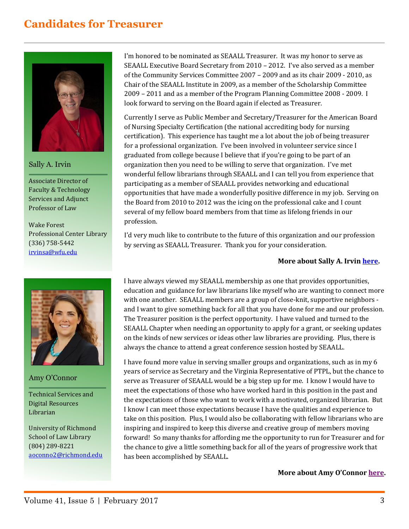# **Candidates for Treasurer**



Sally A. Irvin

Associate Director of Faculty & Technology Services and Adjunct Professor of Law

Wake Forest Professional Center Library (336) 758-5442 [irvinsa@wfu.edu](mailto:irvinsa@wfu.edu)



#### Amy O'Connor

Technical Services and Digital Resources Librarian

University of Richmond School of Law Library (804) 289-8221 [aoconno2@richmond.edu](mailto:aoconno2@richmond.edu)

I'm honored to be nominated as SEAALL Treasurer. It was my honor to serve as SEAALL Executive Board Secretary from 2010 – 2012. I've also served as a member of the Community Services Committee 2007 – 2009 and as its chair 2009 - 2010, as Chair of the SEAALL Institute in 2009, as a member of the Scholarship Committee 2009 – 2011 and as a member of the Program Planning Committee 2008 - 2009. I look forward to serving on the Board again if elected as Treasurer.

Currently I serve as Public Member and Secretary/Treasurer for the American Board of Nursing Specialty Certification (the national accrediting body for nursing certification). This experience has taught me a lot about the job of being treasurer for a professional organization. I've been involved in volunteer service since I graduated from college because I believe that if you're going to be part of an organization then you need to be willing to serve that organization. I've met wonderful fellow librarians through SEAALL and I can tell you from experience that participating as a member of SEAALL provides networking and educational opportunities that have made a wonderfully positive difference in my job. Serving on the Board from 2010 to 2012 was the icing on the professional cake and I count several of my fellow board members from that time as lifelong friends in our profession.

I'd very much like to contribute to the future of this organization and our profession by serving as SEAALL Treasurer. Thank you for your consideration.

#### **More about Sally A. Irvi[n here.](http://www.aallnet.org/chapter/seaall/documents/elections/Irvin_%20Treasurer_bio.pdf)**

I have always viewed my SEAALL membership as one that provides opportunities, education and guidance for law librarians like myself who are wanting to connect more with one another. SEAALL members are a group of close-knit, supportive neighbors and I want to give something back for all that you have done for me and our profession. The Treasurer position is the perfect opportunity. I have valued and turned to the SEAALL Chapter when needing an opportunity to apply for a grant, or seeking updates on the kinds of new services or ideas other law libraries are providing. Plus, there is always the chance to attend a great conference session hosted by SEAALL.

I have found more value in serving smaller groups and organizations, such as in my 6 years of service as Secretary and the Virginia Representative of PTPL, but the chance to serve as Treasurer of SEAALL would be a big step up for me. I know I would have to meet the expectations of those who have worked hard in this position in the past and the expectations of those who want to work with a motivated, organized librarian. But I know I can meet those expectations because I have the qualities and experience to take on this position. Plus, I would also be collaborating with fellow librarians who are inspiring and inspired to keep this diverse and creative group of members moving forward! So many thanks for affording me the opportunity to run for Treasurer and for the chance to give a little something back for all of the years of progressive work that has been accomplished by SEAALL.

**More about Amy O'Connor [here.](http://www.aallnet.org/chapter/seaall/documents/elections/OConnor_%20Treasurer_bio.pdf)**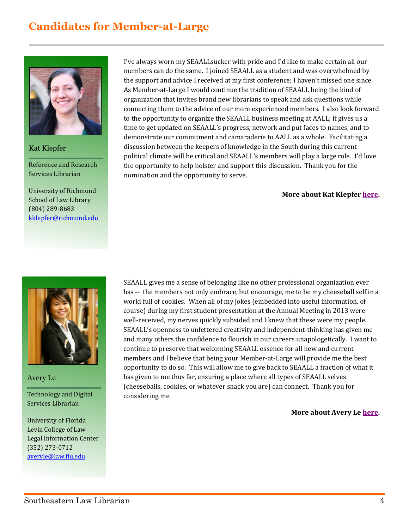# **Candidates for Member-at-Large**



Kat Klepfer

Reference and Research Services Librarian

University of Richmond School of Law Library (804) 289-8683 [kklepfer@richmond.edu](mailto:kklepfer@richmond.edu)

Avery Le

Technology and Digital Services Librarian

University of Florida Levin College of Law Legal Information Center (352) 273-0712 [averyle@law.flu.edu](mailto:averyle@law.flu.edu)

I've always worn my SEAALLsucker with pride and I'd like to make certain all our members can do the same. I joined SEAALL as a student and was overwhelmed by the support and advice I received at my first conference; I haven't missed one since. As Member-at-Large I would continue the tradition of SEAALL being the kind of organization that invites brand new librarians to speak and ask questions while connecting them to the advice of our more experienced members. I also look forward to the opportunity to organize the SEAALL business meeting at AALL; it gives us a time to get updated on SEAALL's progress, network and put faces to names, and to demonstrate our commitment and camaraderie to AALL as a whole. Facilitating a discussion between the keepers of knowledge in the South during this current political climate will be critical and SEAALL's members will play a large role. I'd love the opportunity to help bolster and support this discussion. Thank you for the nomination and the opportunity to serve.

#### **More about Kat Klepfer [here.](http://law.richmond.edu/faculty/kklepfe/)**

SEAALL gives me a sense of belonging like no other professional organization ever has -- the members not only embrace, but encourage, me to be my cheeseball self in a world full of cookies. When all of my jokes (embedded into useful information, of course) during my first student presentation at the Annual Meeting in 2013 were well-received, my nerves quickly subsided and I knew that these were my people. SEAALL's openness to unfettered creativity and independent-thinking has given me and many others the confidence to flourish in our careers unapologetically. I want to continue to preserve that welcoming SEAALL essence for all new and current members and I believe that being your Member-at-Large will provide me the best opportunity to do so. This will allow me to give back to SEAALL a fraction of what it has given to me thus far, ensuring a place where all types of SEAALL selves (cheeseballs, cookies, or whatever snack you are) can connect. Thank you for considering me.

#### **More about Avery Le [here.](http://www.aallnet.org/chapter/seaall/documents/elections/AveryLe_MemberAtLarge_bio.pdf)**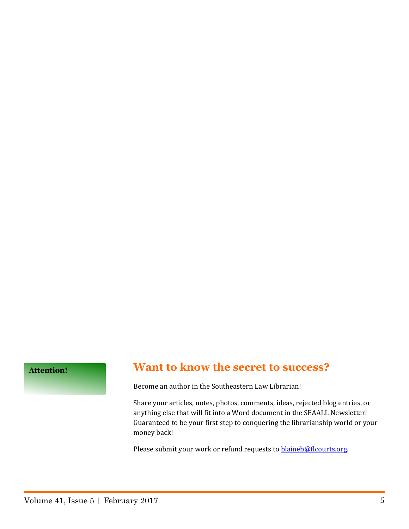**Attention!**

### **Want to know the secret to success?**

Become an author in the Southeastern Law Librarian!

Share your articles, notes, photos, comments, ideas, rejected blog entries, or anything else that will fit into a Word document in the SEAALL Newsletter! Guaranteed to be your first step to conquering the librarianship world or your money back!

Please submit your work or refund requests to **blaineb@flcourts.org**.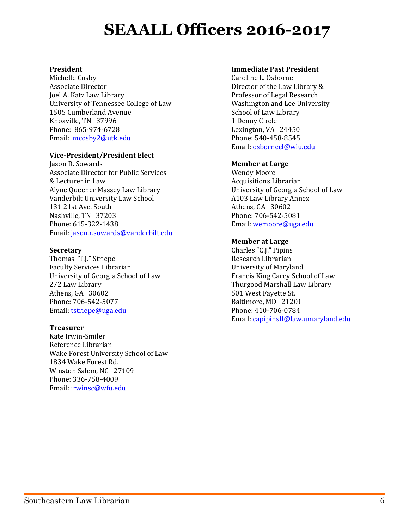# **SEAALL Officers 2016-2017**

#### **President**

Michelle Cosby Associate Director Joel A. Katz Law Library University of Tennessee College of Law 1505 Cumberland Avenue Knoxville, TN 37996 Phone: 865-974-6728 Email: [mcosby2@utk.edu](mailto:mcosby2@utk.edu)

#### **Vice-President/President Elect**

Jason R. Sowards Associate Director for Public Services & Lecturer in Law Alyne Queener Massey Law Library Vanderbilt University Law School 131 21st Ave. South Nashville, TN 37203 Phone: 615-322-1438 Email: [jason.r.sowards@vanderbilt.edu](mailto:jason.r.sowards@vanderbilt.edu)

#### **Secretary**

Thomas "T.J." Striepe Faculty Services Librarian University of Georgia School of Law 272 Law Library Athens, GA 30602 Phone: 706-542-5077 Email: [tstriepe@uga.edu](mailto:tstriepe@uga.edu)

#### **Treasurer**

Kate Irwin-Smiler Reference Librarian Wake Forest University School of Law 1834 Wake Forest Rd. Winston Salem, NC 27109 Phone: 336-758-4009 Email: [irwinsc@wfu.edu](mailto:irwinsc@wfu.edu)

#### **Immediate Past President**

Caroline L. Osborne Director of the Law Library & Professor of Legal Research Washington and Lee University School of Law Library 1 Denny Circle Lexington, VA 24450 Phone: 540-458-8545 Email[: osbornecl@wlu.edu](mailto:osbornecl@wlu.edu)

#### **Member at Large**

Wendy Moore Acquisitions Librarian University of Georgia School of Law A103 Law Library Annex Athens, GA 30602 Phone: 706-542-5081 Email[: wemoore@uga.edu](mailto:wemoore@uga.edu)

#### **Member at Large**

Charles "C.J." Pipins Research Librarian University of Maryland Francis King Carey School of Law Thurgood Marshall Law Library 501 West Fayette St. Baltimore, MD 21201 Phone: 410-706-0784 Email: [capipinsII@law.umaryland.edu](mailto:capipinsII@law.umaryland.edu)